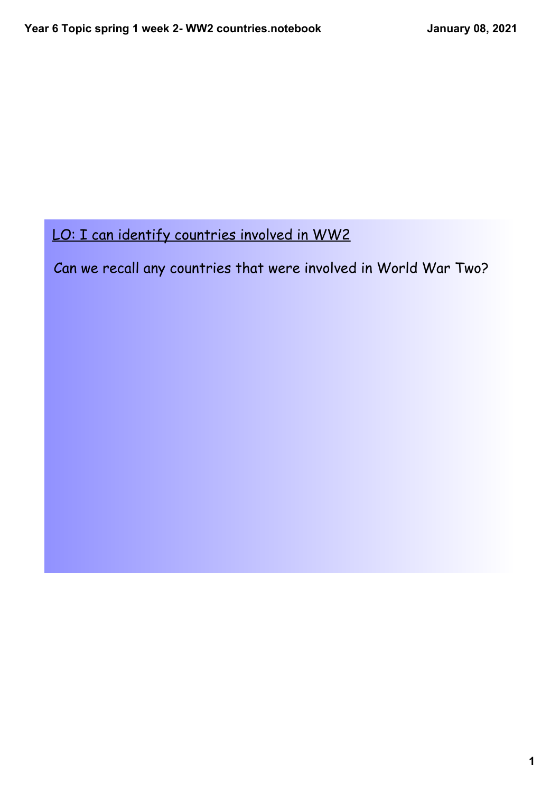Can we recall any countries that were involved in World War Two?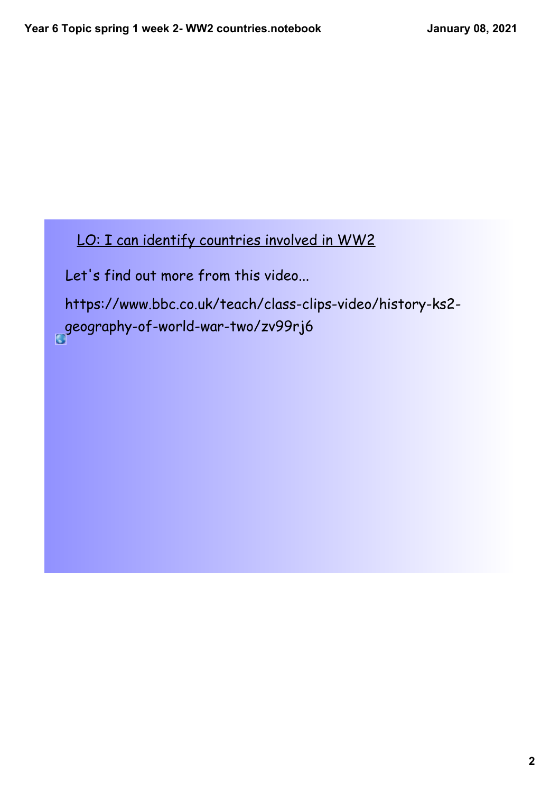Let's find out more from this video...

https://www.bbc.co.uk/teach/class-clips-video/history-ks2 [g](https://www.bbc.co.uk/teach/class-clips-video/history-ks2-geography-of-world-war-two/zv99rj6)eography-of-world-war-two/zv99rj6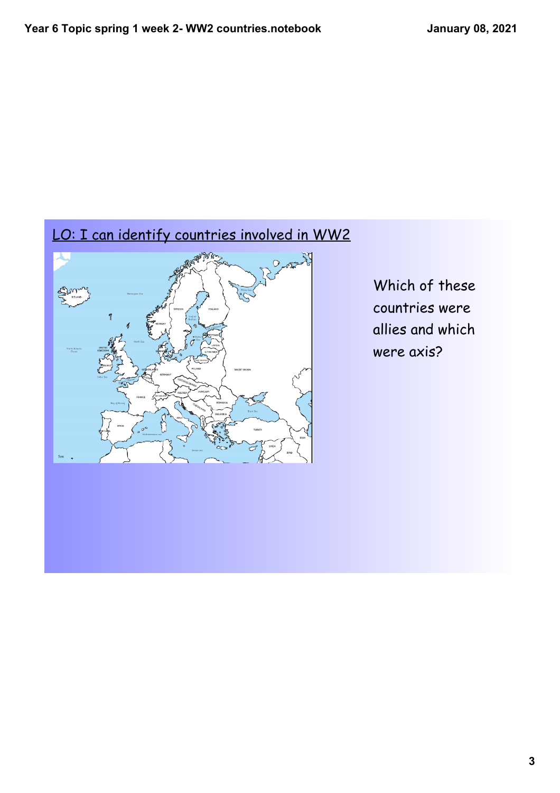

Which of these countries were allies and which were axis?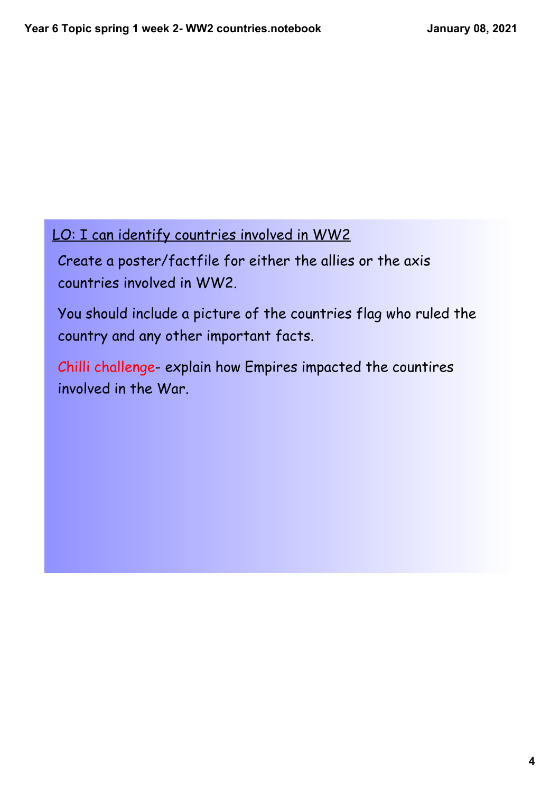Create a poster/factfile for either the allies or the axis countries involved in WW2.

You should include a picture of the countries flag who ruled the country and any other important facts.

Chilli challenge- explain how Empires impacted the countires involved in the War.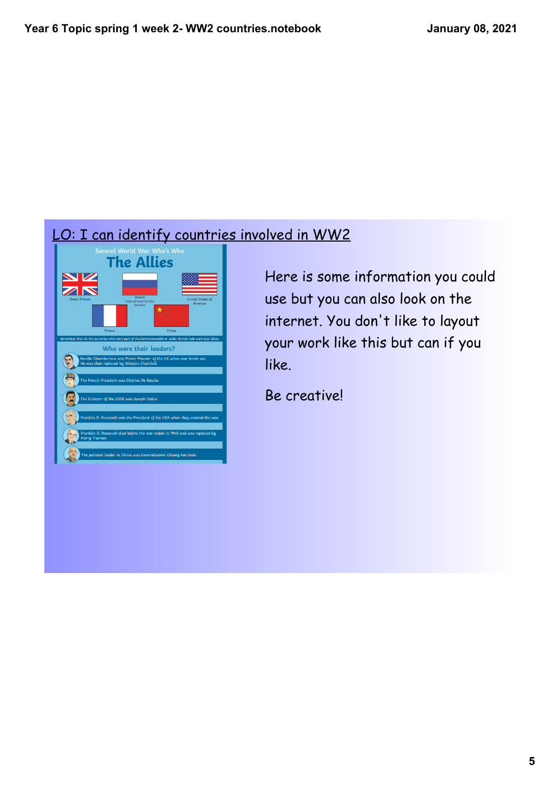# LO: I can identify countries involved in WW2<br>
Fine Allies



Here is some information you could use but you can also look on the internet. You don't like to layout your work like this but can if you like.

Be creative!